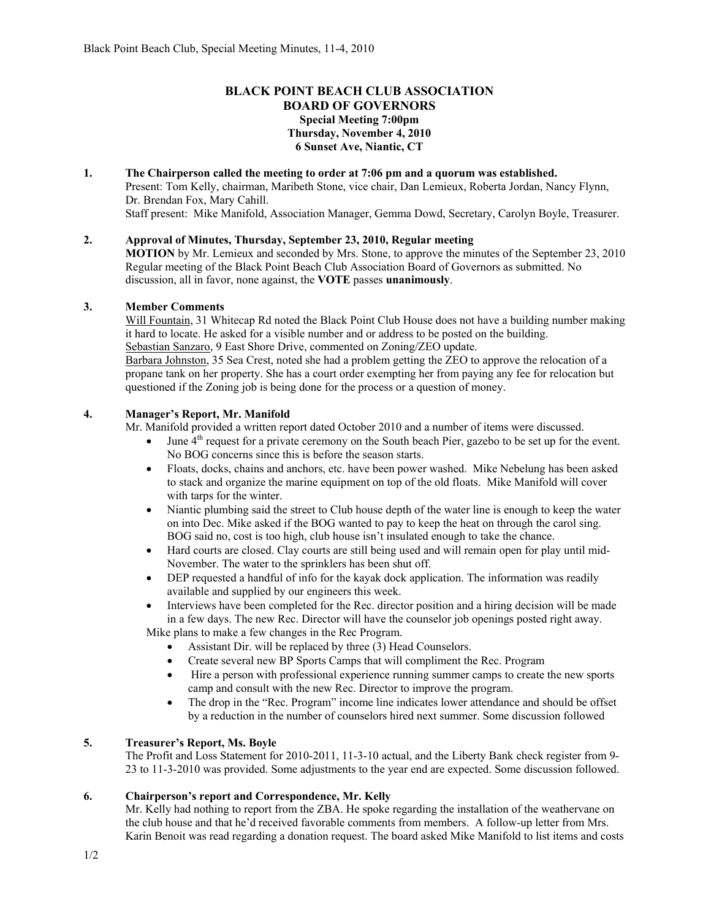# **BLACK POINT BEACH CLUB ASSOCIATION BOARD OF GOVERNORS Special Meeting 7:00pm Thursday, November 4, 2010 6 Sunset Ave, Niantic, CT**

# **1. The Chairperson called the meeting to order at 7:06 pm and a quorum was established.**

Present: Tom Kelly, chairman, Maribeth Stone, vice chair, Dan Lemieux, Roberta Jordan, Nancy Flynn, Dr. Brendan Fox, Mary Cahill.

Staff present: Mike Manifold, Association Manager, Gemma Dowd, Secretary, Carolyn Boyle, Treasurer.

### **2. Approval of Minutes, Thursday, September 23, 2010, Regular meeting**

**MOTION** by Mr. Lemieux and seconded by Mrs. Stone, to approve the minutes of the September 23, 2010 Regular meeting of the Black Point Beach Club Association Board of Governors as submitted. No discussion, all in favor, none against, the **VOTE** passes **unanimously**.

# **3. Member Comments**

Will Fountain, 31 Whitecap Rd noted the Black Point Club House does not have a building number making it hard to locate. He asked for a visible number and or address to be posted on the building. Sebastian Sanzaro, 9 East Shore Drive, commented on Zoning/ZEO update.

Barbara Johnston, 35 Sea Crest, noted she had a problem getting the ZEO to approve the relocation of a propane tank on her property. She has a court order exempting her from paying any fee for relocation but questioned if the Zoning job is being done for the process or a question of money.

# **4. Manager's Report, Mr. Manifold**

Mr. Manifold provided a written report dated October 2010 and a number of items were discussed.

- June 4<sup>th</sup> request for a private ceremony on the South beach Pier, gazebo to be set up for the event. No BOG concerns since this is before the season starts.
- Floats, docks, chains and anchors, etc. have been power washed. Mike Nebelung has been asked to stack and organize the marine equipment on top of the old floats. Mike Manifold will cover with tarps for the winter.
- Niantic plumbing said the street to Club house depth of the water line is enough to keep the water on into Dec. Mike asked if the BOG wanted to pay to keep the heat on through the carol sing. BOG said no, cost is too high, club house isn't insulated enough to take the chance.
- Hard courts are closed. Clay courts are still being used and will remain open for play until mid-November. The water to the sprinklers has been shut off.
- DEP requested a handful of info for the kayak dock application. The information was readily available and supplied by our engineers this week.
- Interviews have been completed for the Rec. director position and a hiring decision will be made in a few days. The new Rec. Director will have the counselor job openings posted right away.

Mike plans to make a few changes in the Rec Program.

- Assistant Dir. will be replaced by three (3) Head Counselors.
- Create several new BP Sports Camps that will compliment the Rec. Program
- Hire a person with professional experience running summer camps to create the new sports camp and consult with the new Rec. Director to improve the program.
- The drop in the "Rec. Program" income line indicates lower attendance and should be offset by a reduction in the number of counselors hired next summer. Some discussion followed

# **5. Treasurer's Report, Ms. Boyle**

The Profit and Loss Statement for 2010-2011, 11-3-10 actual, and the Liberty Bank check register from 9- 23 to 11-3-2010 was provided. Some adjustments to the year end are expected. Some discussion followed.

# **6. Chairperson's report and Correspondence, Mr. Kelly**

Mr. Kelly had nothing to report from the ZBA. He spoke regarding the installation of the weathervane on the club house and that he'd received favorable comments from members. A follow-up letter from Mrs. Karin Benoit was read regarding a donation request. The board asked Mike Manifold to list items and costs